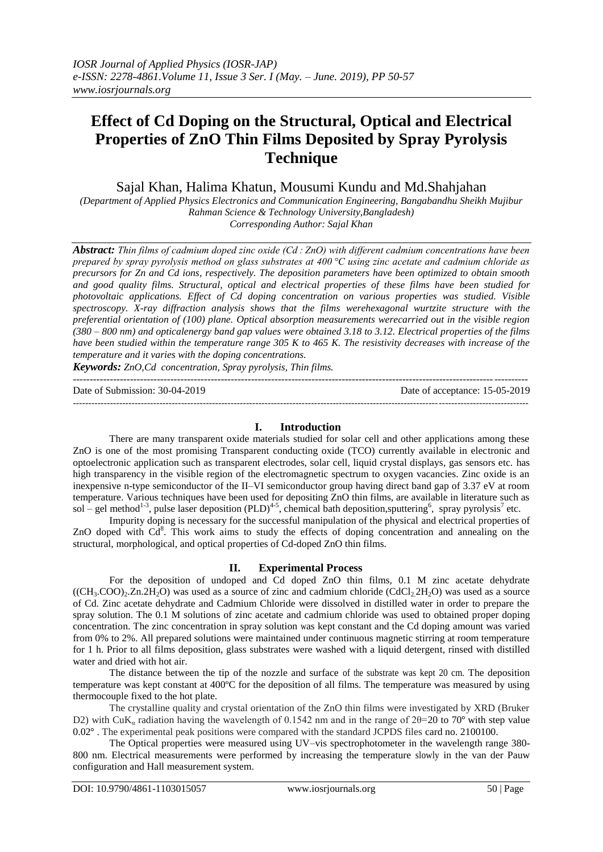# **Effect of Cd Doping on the Structural, Optical and Electrical Properties of ZnO Thin Films Deposited by Spray Pyrolysis Technique**

Sajal Khan, Halima Khatun, Mousumi Kundu and Md.Shahjahan

*(Department of Applied Physics Electronics and Communication Engineering, Bangabandhu Sheikh Mujibur Rahman Science & Technology University,Bangladesh)*

*Corresponding Author: Sajal Khan*

*Abstract: Thin films of cadmium doped zinc oxide (Cd : ZnO) with different cadmium concentrations have been prepared by spray pyrolysis method on glass substrates at 400 °C using zinc acetate and cadmium chloride as precursors for Zn and Cd ions, respectively. The deposition parameters have been optimized to obtain smooth and good quality films. Structural, optical and electrical properties of these films have been studied for photovoltaic applications. Effect of Cd doping concentration on various properties was studied. Visible spectroscopy. X-ray diffraction analysis shows that the films werehexagonal wurtzite structure with the preferential orientation of (100) plane. Optical absorption measurements werecarried out in the visible region (380 – 800 nm) and opticalenergy band gap values were obtained 3.18 to 3.12. Electrical properties of the films have been studied within the temperature range 305 K to 465 K. The resistivity decreases with increase of the temperature and it varies with the doping concentrations.*

*Keywords: ZnO,Cd concentration, Spray pyrolysis, Thin films.*

 $-1.1$ 

Date of Submission: 30-04-2019 Date of acceptance: 15-05-2019

# **I. Introduction**

---------------------------------------------------------------------------------------------------------------------------------------------------

There are many transparent oxide materials studied for solar cell and other applications among these ZnO is one of the most promising Transparent conducting oxide (TCO) currently available in electronic and optoelectronic application such as transparent electrodes, solar cell, liquid crystal displays, gas sensors etc. has high transparency in the visible region of the electromagnetic spectrum to oxygen vacancies. Zinc oxide is an inexpensive n-type semiconductor of the II–VI semiconductor group having direct band gap of 3.37 eV at room temperature. Various techniques have been used for depositing ZnO thin films, are available in literature such as sol – gel method<sup>1-3</sup>, pulse laser deposition (PLD)<sup>4-5</sup>, chemical bath deposition, sputtering<sup>6</sup>, spray pyrolysis<sup>7</sup> etc.

Impurity doping is necessary for the successful manipulation of the physical and electrical properties of ZnO doped with Cd<sup>8</sup>. This work aims to study the effects of doping concentration and annealing on the structural, morphological, and optical properties of Cd-doped ZnO thin films.

# **II. Experimental Process**

For the deposition of undoped and Cd doped ZnO thin films, 0.1 M zinc acetate dehydrate  $((CH<sub>3</sub>.COO)<sub>2</sub>.Zn.2H<sub>2</sub>O)$  was used as a source of zinc and cadmium chloride  $(CdCl<sub>2</sub>.2H<sub>2</sub>O)$  was used as a source of Cd. Zinc acetate dehydrate and Cadmium Chloride were dissolved in distilled water in order to prepare the spray solution. The 0.1 M solutions of zinc acetate and cadmium chloride was used to obtained proper doping concentration. The zinc concentration in spray solution was kept constant and the Cd doping amount was varied from 0% to 2%. All prepared solutions were maintained under continuous magnetic stirring at room temperature for 1 h. Prior to all films deposition, glass substrates were washed with a liquid detergent, rinsed with distilled water and dried with hot air.

The distance between the tip of the nozzle and surface of the substrate was kept 20 cm. The deposition temperature was kept constant at 400ºC for the deposition of all films. The temperature was measured by using thermocouple fixed to the hot plate.

The crystalline quality and crystal orientation of the ZnO thin films were investigated by XRD (Bruker D2) with CuK<sub>α</sub> radiation having the wavelength of 0.1542 nm and in the range of 2θ=20 to 70° with step value 0.02° . The experimental peak positions were compared with the standard JCPDS files card no. 2100100.

The Optical properties were measured using UV–vis spectrophotometer in the wavelength range 380- 800 nm. Electrical measurements were performed by increasing the temperature slowly in the van der Pauw configuration and Hall measurement system.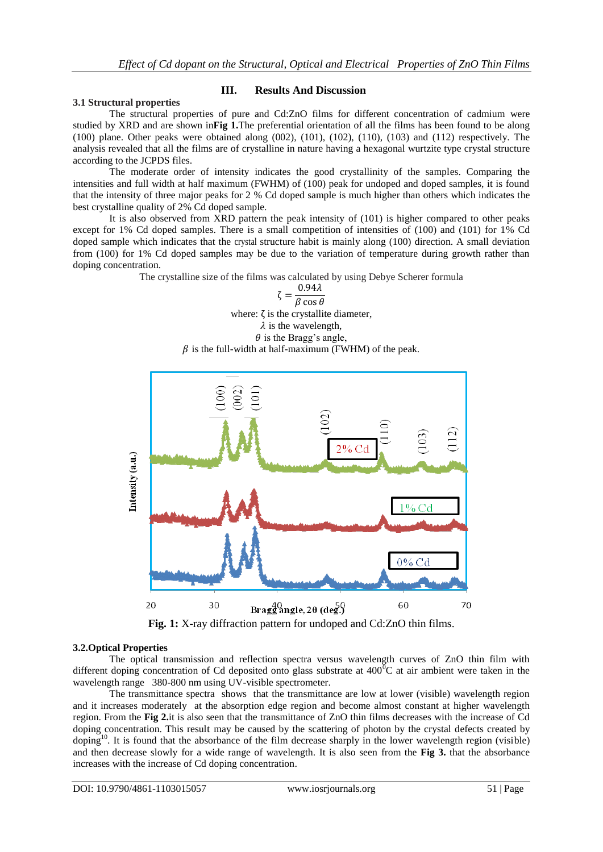# **III. Results And Discussion**

#### **3.1 Structural properties**

The structural properties of pure and Cd:ZnO films for different concentration of cadmium were studied by XRD and are shown in**Fig 1.**The preferential orientation of all the films has been found to be along (100) plane. Other peaks were obtained along (002), (101), (102), (110), (103) and (112) respectively. The analysis revealed that all the films are of crystalline in nature having a hexagonal wurtzite type crystal structure according to the JCPDS files.

The moderate order of intensity indicates the good crystallinity of the samples. Comparing the intensities and full width at half maximum (FWHM) of (100) peak for undoped and doped samples, it is found that the intensity of three major peaks for 2 % Cd doped sample is much higher than others which indicates the best crystalline quality of 2% Cd doped sample.

It is also observed from XRD pattern the peak intensity of (101) is higher compared to other peaks except for 1% Cd doped samples. There is a small competition of intensities of (100) and (101) for 1% Cd doped sample which indicates that the crystal structure habit is mainly along (100) direction. A small deviation from (100) for 1% Cd doped samples may be due to the variation of temperature during growth rather than doping concentration.

The crystalline size of the films was calculated by using Debye Scherer formula

$$
\zeta = \frac{0.94\lambda}{\beta \cos \theta}
$$
  
where:  $\zeta$  is the crystallite diameter,  
 $\lambda$  is the wavelength,  
 $\theta$  is the Bragg's angle,  
 $\beta$  is the full-width at half-maximum (FWHM) of the peak.



#### **3.2.Optical Properties**

The optical transmission and reflection spectra versus wavelength curves of ZnO thin film with different doping concentration of Cd deposited onto glass substrate at  $400^{\circ}$ C at air ambient were taken in the wavelength range 380-800 nm using UV-visible spectrometer.

The transmittance spectra shows that the transmittance are low at lower (visible) wavelength region and it increases moderately at the absorption edge region and become almost constant at higher wavelength region. From the **Fig 2.**it is also seen that the transmittance of ZnO thin films decreases with the increase of Cd doping concentration. This result may be caused by the scattering of photon by the crystal defects created by doping<sup>10</sup>. It is found that the absorbance of the film decrease sharply in the lower wavelength region (visible) and then decrease slowly for a wide range of wavelength. It is also seen from the **Fig 3.** that the absorbance increases with the increase of Cd doping concentration.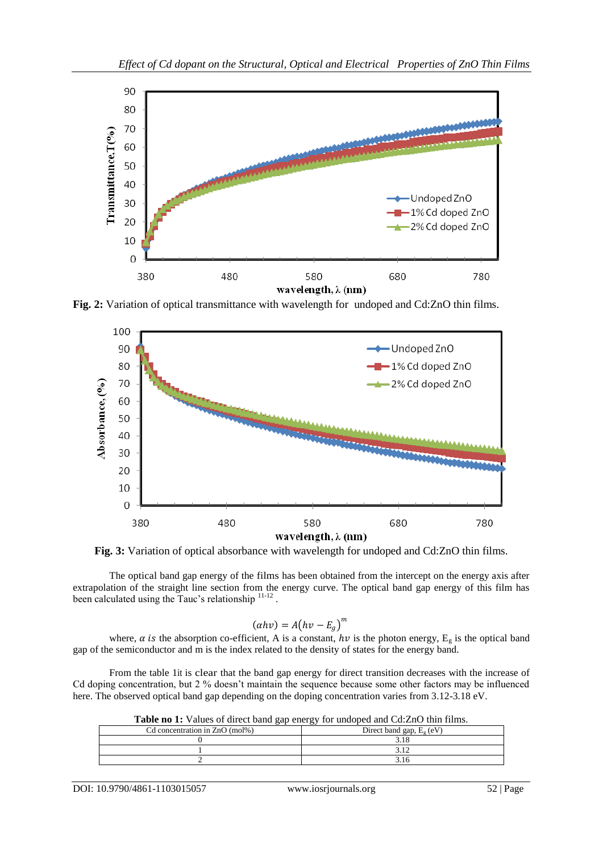

**Fig. 2:** Variation of optical transmittance with wavelength for undoped and Cd:ZnO thin films.



**Fig. 3:** Variation of optical absorbance with wavelength for undoped and Cd:ZnO thin films.

The optical band gap energy of the films has been obtained from the intercept on the energy axis after extrapolation of the straight line section from the energy curve. The optical band gap energy of this film has been calculated using the Tauc's relationship  $11-12$ .

$$
(\alpha h v) = A(hv - E_g)^m
$$

where,  $\alpha$  is the absorption co-efficient, A is a constant,  $h\nu$  is the photon energy, E<sub>g</sub> is the optical band gap of the semiconductor and m is the index related to the density of states for the energy band.

From the table 1it is clear that the band gap energy for direct transition decreases with the increase of Cd doping concentration, but 2 % doesn't maintain the sequence because some other factors may be influenced here. The observed optical band gap depending on the doping concentration varies from 3.12-3.18 eV.

**Table no 1:** Values of direct band gap energy for undoped and Cd:ZnO thin films.

| o - r - - - - -                |                            |  |  |  |
|--------------------------------|----------------------------|--|--|--|
| Cd concentration in ZnO (mol%) | Direct band gap, $Ee$ (eV) |  |  |  |
|                                |                            |  |  |  |
|                                |                            |  |  |  |
|                                | . 10                       |  |  |  |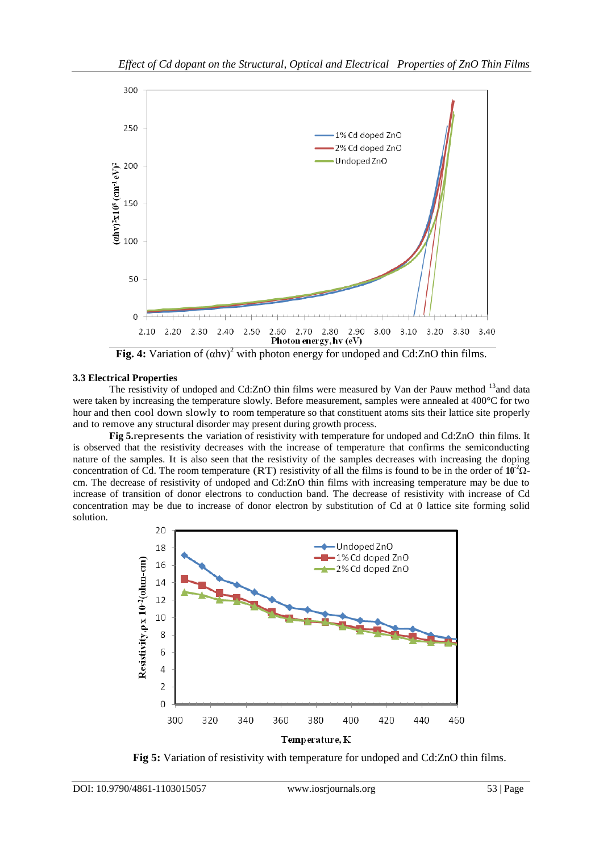

**Fig. 4:** Variation of  $(αhv)^2$  with photon energy for undoped and Cd:ZnO thin films.

# **3.3 Electrical Properties**

The resistivity of undoped and Cd:ZnO thin films were measured by Van der Pauw method <sup>13</sup> and data were taken by increasing the temperature slowly. Before measurement, samples were annealed at 400°C for two hour and then cool down slowly to room temperature so that constituent atoms sits their lattice site properly and to remove any structural disorder may present during growth process.

**Fig 5.**represents the variation of resistivity with temperature for undoped and Cd:ZnO thin films. It is observed that the resistivity decreases with the increase of temperature that confirms the semiconducting nature of the samples. It is also seen that the resistivity of the samples decreases with increasing the doping concentration of Cd. The room temperature (RT) resistivity of all the films is found to be in the order of **10-2**Ωcm. The decrease of resistivity of undoped and Cd:ZnO thin films with increasing temperature may be due to increase of transition of donor electrons to conduction band. The decrease of resistivity with increase of Cd concentration may be due to increase of donor electron by substitution of Cd at 0 lattice site forming solid solution.



**Fig 5:** Variation of resistivity with temperature for undoped and Cd:ZnO thin films.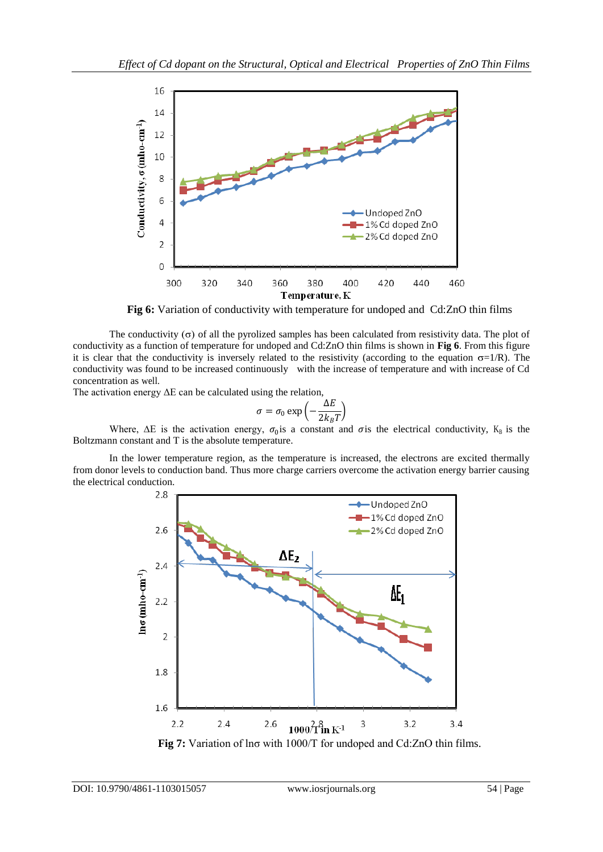

**Fig 6:** Variation of conductivity with temperature for undoped and Cd:ZnO thin films

The conductivity  $(\sigma)$  of all the pyrolized samples has been calculated from resistivity data. The plot of conductivity as a function of temperature for undoped and Cd:ZnO thin films is shown in **Fig 6**. From this figure it is clear that the conductivity is inversely related to the resistivity (according to the equation  $\sigma=1/R$ ). The conductivity was found to be increased continuously with the increase of temperature and with increase of Cd concentration as well.

The activation energy ΔE can be calculated using the relation,

$$
\sigma = \sigma_0 \exp\left(-\frac{\Delta E}{2k_B T}\right)
$$

Where,  $\Delta E$  is the activation energy,  $\sigma_0$  is a constant and  $\sigma$  is the electrical conductivity, K<sub>B</sub> is the Boltzmann constant and T is the absolute temperature.

In the lower temperature region, as the temperature is increased, the electrons are excited thermally from donor levels to conduction band. Thus more charge carriers overcome the activation energy barrier causing the electrical conduction.

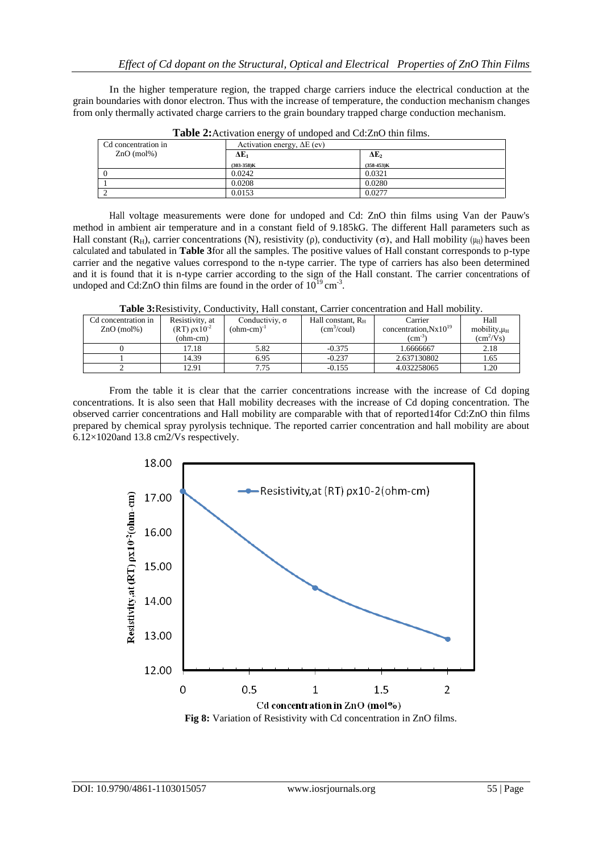In the higher temperature region, the trapped charge carriers induce the electrical conduction at the grain boundaries with donor electron. Thus with the increase of temperature, the conduction mechanism changes from only thermally activated charge carriers to the grain boundary trapped charge conduction mechanism.

| Cd concentration in | Activation energy, $\Delta E$ (ev) |              |  |  |
|---------------------|------------------------------------|--------------|--|--|
| $ZnO$ (mol%)        | ΔE1                                | $\Delta E_2$ |  |  |
|                     | $(303-358)K$                       | $(358-453)K$ |  |  |
| $\theta$            | 0.0242                             | 0.0321       |  |  |
|                     | 0.0208                             | 0.0280       |  |  |
| ∍                   | 0.0153                             | 0.0277       |  |  |
|                     |                                    |              |  |  |

**Table 2:** Activation energy of undoped and Cd:ZnO thin films.

Hall voltage measurements were done for undoped and Cd: ZnO thin films using Van der Pauw's method in ambient air temperature and in a constant field of 9.185kG. The different Hall parameters such as Hall constant  $(R_H)$ , carrier concentrations (N), resistivity (ρ), conductivity (σ), and Hall mobility ( $\mu_H$ ) haves been calculated and tabulated in **Table 3**for all the samples. The positive values of Hall constant corresponds to p-type carrier and the negative values correspond to the n-type carrier. The type of carriers has also been determined and it is found that it is n-type carrier according to the sign of the Hall constant. The carrier concentrations of undoped and Cd:ZnO thin films are found in the order of  $10^{19}$  cm<sup>-3</sup>.

| Cd concentration in | Resistivity, at       | Conductiviy, $\sigma$ | Hall constant, $RH$ | Carrier                    | Hall                      |
|---------------------|-----------------------|-----------------------|---------------------|----------------------------|---------------------------|
| $ZnO$ (mol%)        | $(RT) \rho x 10^{-2}$ | $(ohm-cm)^{-1}$       | $(cm^3/coul)$       | concentration, $Nx10^{19}$ | mobility, $\mu_H$         |
|                     | $(ohm-cm)$            |                       |                     | $\text{cm}^{-3}$           | $\text{(cm}^2/\text{Vs)}$ |
|                     | 17.18                 | 5.82                  | $-0.375$            | 1.6666667                  | 2.18                      |
|                     | 14.39                 | 6.95                  | $-0.237$            | 2.637130802                | 1.65                      |
|                     | 12.91                 | 7.75                  | $-0.155$            | 4.032258065                | 1.20                      |

From the table it is clear that the carrier concentrations increase with the increase of Cd doping concentrations. It is also seen that Hall mobility decreases with the increase of Cd doping concentration. The observed carrier concentrations and Hall mobility are comparable with that of reported14for Cd:ZnO thin films prepared by chemical spray pyrolysis technique. The reported carrier concentration and hall mobility are about 6.12×1020and 13.8 cm2/Vs respectively.

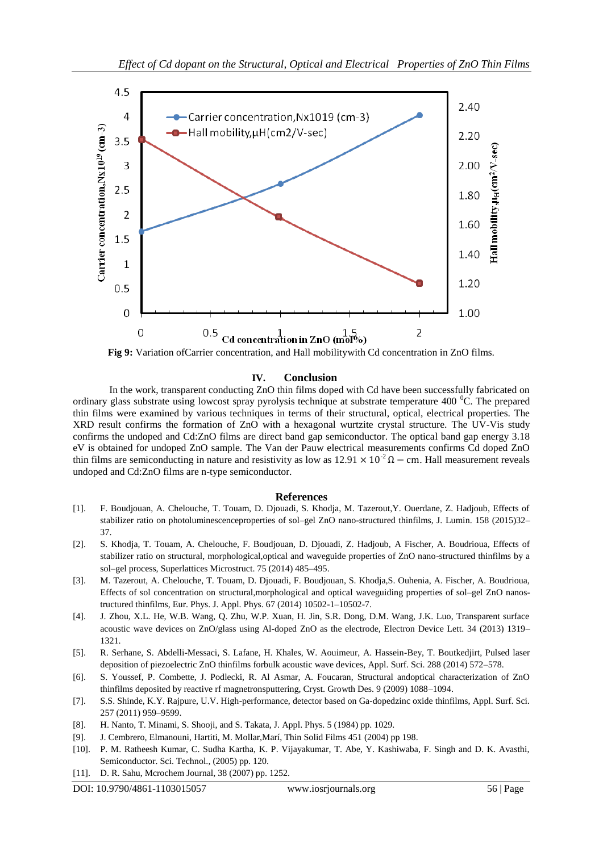

**Fig 9:** Variation ofCarrier concentration, and Hall mobilitywith Cd concentration in ZnO films.

#### **IV. Conclusion**

In the work, transparent conducting ZnO thin films doped with Cd have been successfully fabricated on ordinary glass substrate using lowcost spray pyrolysis technique at substrate temperature 400 <sup>o</sup>C. The prepared thin films were examined by various techniques in terms of their structural, optical, electrical properties. The XRD result confirms the formation of ZnO with a hexagonal wurtzite crystal structure. The UV-Vis study confirms the undoped and Cd:ZnO films are direct band gap semiconductor. The optical band gap energy 3.18 eV is obtained for undoped ZnO sample. The Van der Pauw electrical measurements confirms Cd doped ZnO thin films are semiconducting in nature and resistivity as low as  $12.91 \times 10^{-2} \Omega$  – cm. Hall measurement reveals undoped and Cd:ZnO films are n-type semiconductor.

#### **References**

- [1]. F. Boudjouan, A. Chelouche, T. Touam, D. Djouadi, S. Khodja, M. Tazerout,Y. Ouerdane, Z. Hadjoub, Effects of stabilizer ratio on photoluminescenceproperties of sol–gel ZnO nano-structured thinfilms, J. Lumin. 158 (2015)32– 37.
- [2]. S. Khodja, T. Touam, A. Chelouche, F. Boudjouan, D. Djouadi, Z. Hadjoub, A Fischer, A. Boudrioua, Effects of stabilizer ratio on structural, morphological,optical and waveguide properties of ZnO nano-structured thinfilms by a sol–gel process, Superlattices Microstruct. 75 (2014) 485–495.
- [3]. M. Tazerout, A. Chelouche, T. Touam, D. Djouadi, F. Boudjouan, S. Khodja,S. Ouhenia, A. Fischer, A. Boudrioua, Effects of sol concentration on structural,morphological and optical waveguiding properties of sol–gel ZnO nanostructured thinfilms, Eur. Phys. J. Appl. Phys. 67 (2014) 10502-1–10502-7.
- [4]. J. Zhou, X.L. He, W.B. Wang, Q. Zhu, W.P. Xuan, H. Jin, S.R. Dong, D.M. Wang, J.K. Luo, Transparent surface acoustic wave devices on ZnO/glass using Al-doped ZnO as the electrode, Electron Device Lett. 34 (2013) 1319– 1321.
- [5]. R. Serhane, S. Abdelli-Messaci, S. Lafane, H. Khales, W. Aouimeur, A. Hassein-Bey, T. Boutkedjirt, Pulsed laser deposition of piezoelectric ZnO thinfilms forbulk acoustic wave devices, Appl. Surf. Sci. 288 (2014) 572–578.
- [6]. S. Youssef, P. Combette, J. Podlecki, R. Al Asmar, A. Foucaran, Structural andoptical characterization of ZnO thinfilms deposited by reactive rf magnetronsputtering, Cryst. Growth Des. 9 (2009) 1088–1094.
- [7]. S.S. Shinde, K.Y. Rajpure, U.V. High-performance, detector based on Ga-dopedzinc oxide thinfilms, Appl. Surf. Sci. 257 (2011) 959–9599.
- [8]. H. Nanto, T. Minami, S. Shooji, and S. Takata, J. Appl. Phys. 5 (1984) pp. 1029.
- [9]. J. Cembrero, Elmanouni, Hartiti, M. Mollar,Marí, Thin Solid Films 451 (2004) pp 198.
- [10]. P. M. Ratheesh Kumar, C. Sudha Kartha, K. P. Vijayakumar, T. Abe, Y. Kashiwaba, F. Singh and D. K. Avasthi, Semiconductor. Sci. Technol., (2005) pp. 120.
- [11]. D. R. Sahu, Mcrochem Journal, 38 (2007) pp. 1252.